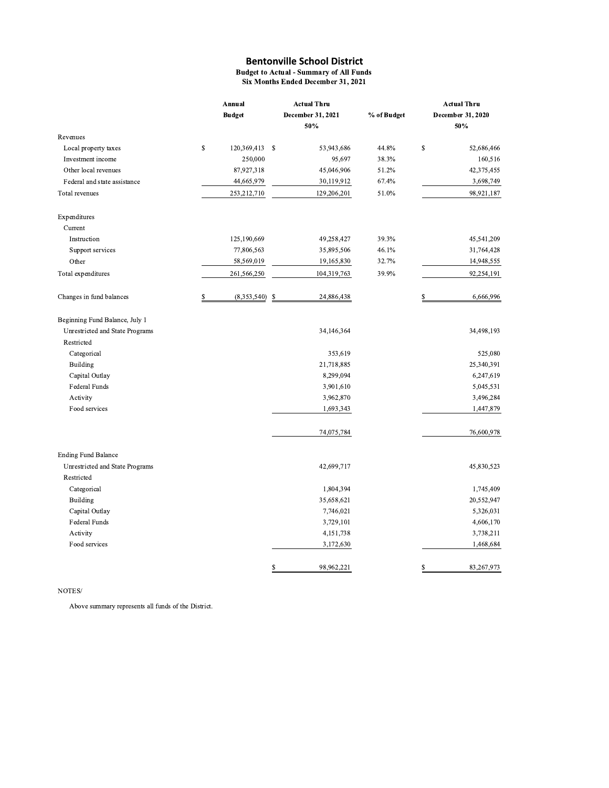**Budget to Actual - Summary of All Funds** Six Months Ended December 31, 2021

|                                 | Annual            |               | <b>Actual Thru</b>       |             | <b>Actual Thru</b><br>December 31, 2020 |            |  |
|---------------------------------|-------------------|---------------|--------------------------|-------------|-----------------------------------------|------------|--|
|                                 | <b>Budget</b>     |               | December 31, 2021<br>50% | % of Budget |                                         | 50%        |  |
| Revenues                        |                   |               |                          |             |                                         |            |  |
| Local property taxes            | \$<br>120,369,413 | $\mathbf{\$}$ | 53,943,686               | 44.8%       | $\mathbb S$                             | 52,686,466 |  |
| Investment income               | 250,000           |               | 95,697                   | 38.3%       |                                         | 160,516    |  |
| Other local revenues            | 87,927,318        |               | 45,046,906               | 51.2%       |                                         | 42,375,455 |  |
| Federal and state assistance    | 44,665,979        |               | 30,119,912               | 67.4%       |                                         | 3,698,749  |  |
| Total revenues                  | 253,212,710       |               | 129,206,201              | 51.0%       |                                         | 98,921,187 |  |
| Expenditures                    |                   |               |                          |             |                                         |            |  |
| Current                         |                   |               |                          |             |                                         |            |  |
| Instruction                     | 125,190,669       |               | 49,258,427               | 39.3%       |                                         | 45,541,209 |  |
| Support services                | 77,806,563        |               | 35,895,506               | 46.1%       |                                         | 31,764,428 |  |
| Other                           | 58,569,019        |               | 19,165,830               | 32.7%       |                                         | 14,948,555 |  |
| Total expenditures              | 261,566,250       |               | 104,319,763              | 39.9%       |                                         | 92,254,191 |  |
| Changes in fund balances        | \$<br>(8,353,540) | \$            | 24,886,438               |             | S                                       | 6,666,996  |  |
| Beginning Fund Balance, July 1  |                   |               |                          |             |                                         |            |  |
| Unrestricted and State Programs |                   |               | 34,146,364               |             |                                         | 34,498,193 |  |
| Restricted                      |                   |               |                          |             |                                         |            |  |
| Categorical                     |                   |               | 353,619                  |             |                                         | 525,080    |  |
| <b>Building</b>                 |                   |               | 21,718,885               |             |                                         | 25,340,391 |  |
| Capital Outlay                  |                   |               | 8,299,094                |             |                                         | 6,247,619  |  |
| <b>Federal Funds</b>            |                   |               | 3,901,610                |             |                                         | 5,045,531  |  |
| Activity                        |                   |               | 3,962,870                |             |                                         | 3,496,284  |  |
| Food services                   |                   |               | 1,693,343                |             |                                         | 1,447,879  |  |
|                                 |                   |               | 74,075,784               |             |                                         | 76,600,978 |  |
| <b>Ending Fund Balance</b>      |                   |               |                          |             |                                         |            |  |
| Unrestricted and State Programs |                   |               | 42,699,717               |             |                                         | 45,830,523 |  |
| Restricted                      |                   |               |                          |             |                                         |            |  |
| Categorical                     |                   |               | 1,804,394                |             |                                         | 1,745,409  |  |
| Building                        |                   |               | 35,658,621               |             |                                         | 20,552,947 |  |
| Capital Outlay                  |                   |               | 7,746,021                |             |                                         | 5,326,031  |  |
| Federal Funds                   |                   |               | 3,729,101                |             |                                         | 4,606,170  |  |
| Activity                        |                   |               | 4,151,738                |             |                                         | 3,738,211  |  |
| Food services                   |                   |               | 3,172,630                |             |                                         | 1,468,684  |  |
|                                 |                   | \$            | 98.962.221               |             | S                                       | 83.267.973 |  |

### NOTES/

Above summary represents all funds of the District.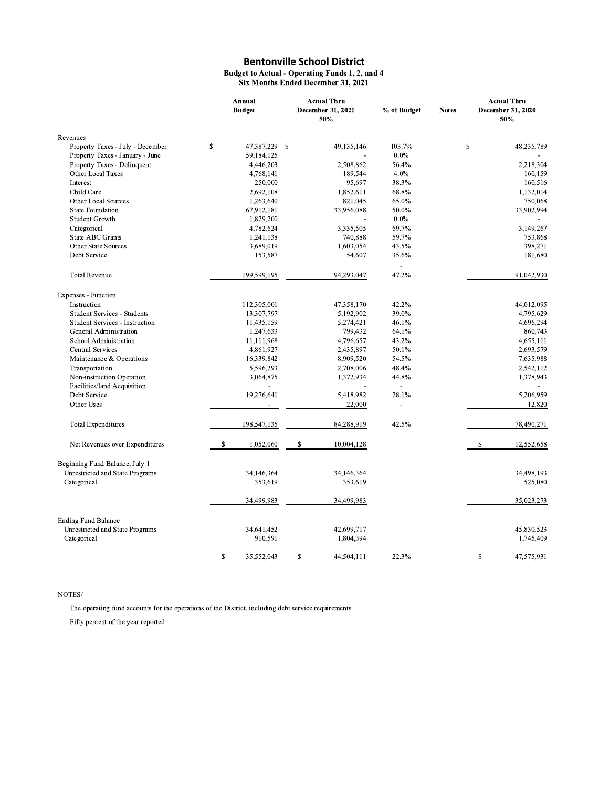#### Budget to Actual - Operating Funds 1, 2, and 4 Six Months Ended December 31, 2021

|                                                          | Annual<br><b>Budget</b>   | <b>Actual Thru</b><br>December 31, 2021<br>50% | % of Budget             | <b>Notes</b> | <b>Actual Thru</b><br>December 31, 2020<br>50% |
|----------------------------------------------------------|---------------------------|------------------------------------------------|-------------------------|--------------|------------------------------------------------|
| Revenues                                                 |                           |                                                |                         |              |                                                |
| Property Taxes - July - December                         | \$<br>47,387,229 \$       | 49,135,146                                     | 103.7%                  |              | \$<br>48,235,789                               |
| Property Taxes - January - June                          | 59,184,125                |                                                | $0.0\%$                 |              |                                                |
| Property Taxes - Delinquent                              | 4,446,203                 | 2,508,862                                      | 56.4%                   |              | 2,218,304                                      |
| Other Local Taxes                                        | 4,768,141                 | 189,544                                        | 4.0%                    |              | 160,159                                        |
| Interest                                                 | 250,000                   | 95,697                                         | 38.3%                   |              | 160,516                                        |
| Child Care                                               | 2,692,108                 | 1,852,611                                      | 68.8%                   |              | 1,132,014                                      |
| Other Local Sources                                      | 1,263,640                 | 821,045                                        | 65.0%                   |              | 750,068                                        |
| <b>State Foundation</b>                                  | 67,912,181                | 33,956,088                                     | 50.0%                   |              | 33,902,994                                     |
| Student Growth                                           | 1,829,200                 |                                                | $0.0\%$                 |              |                                                |
| Categorical                                              | 4,782,624                 | 3,335,505                                      | 69.7%                   |              | 3,149,267                                      |
| <b>State ABC Grants</b>                                  | 1,241,138                 | 740,888                                        | 59.7%                   |              | 753,868                                        |
| Other State Sources                                      | 3,689,019                 | 1,603,054                                      | 43.5%                   |              | 398,271                                        |
| Debt Service                                             | 153,587                   | 54,607                                         | 35.6%<br>$\sim$         |              | 181,680                                        |
| <b>Total Revenue</b>                                     | 199,599,195               | 94,293,047                                     | 47.2%                   |              | 91,042,930                                     |
| Expenses - Function                                      |                           |                                                |                         |              |                                                |
| Instruction                                              | 112,305,001               | 47,358,170                                     | 42.2%                   |              | 44,012,095                                     |
| Student Services - Students                              | 13,307,797                | 5,192,902                                      | 39.0%                   |              | 4,795,629                                      |
| <b>Student Services - Instruction</b>                    | 11,435,159                | 5,274,421                                      | 46.1%                   |              | 4,696,294                                      |
| General Administration                                   | 1,247,633                 | 799,432                                        | 64.1%                   |              | 860,743                                        |
| School Administration                                    | 11,111,968                | 4,796,657                                      | 43.2%                   |              | 4,655,111                                      |
| <b>Central Services</b>                                  | 4,861,927                 | 2,435,897                                      | 50.1%                   |              | 2,693,579                                      |
| Maintenance & Operations                                 | 16,339,842                | 8,909,520                                      | 54.5%                   |              | 7,635,988                                      |
| Transportation                                           | 5,596,293                 | 2,708,006                                      | 48.4%                   |              | 2,542,112                                      |
| Non-instruction Operation<br>Facilities/land Acquisition | 3,064,875                 | 1,372,934                                      | 44.8%<br>÷.             |              | 1,378,943                                      |
| Debt Service<br>Other Uses                               | 19,276,641<br>÷,          | 5,418,982<br>22,000                            | 28.1%<br>$\overline{a}$ |              | 5,206,959<br>12,820                            |
| <b>Total Expenditures</b>                                | 198,547,135               | 84,288,919                                     | 42.5%                   |              | 78,490,271                                     |
| Net Revenues over Expenditures                           | $\mathbb{S}$<br>1,052,060 | S<br>10,004,128                                |                         |              | \$<br>12,552,658                               |
|                                                          |                           |                                                |                         |              |                                                |
| Beginning Fund Balance, July 1                           |                           |                                                |                         |              |                                                |
| Unrestricted and State Programs                          | 34,146,364                | 34,146,364                                     |                         |              | 34,498,193                                     |
| Categorical                                              | 353,619                   | 353,619                                        |                         |              | 525,080                                        |
|                                                          | 34,499,983                | 34,499,983                                     |                         |              | 35,023,273                                     |
|                                                          |                           |                                                |                         |              |                                                |
| <b>Ending Fund Balance</b>                               |                           |                                                |                         |              |                                                |
| Unrestricted and State Programs                          | 34,641,452                | 42,699,717                                     |                         |              | 45,830,523                                     |
| Categorical                                              | 910,591                   | 1,804,394                                      |                         |              | 1,745,409                                      |
|                                                          | 35,552,043                | s<br>44,504,111                                | 22.3%                   |              | \$<br>47,575,931                               |

### $\rm{NOTES}/$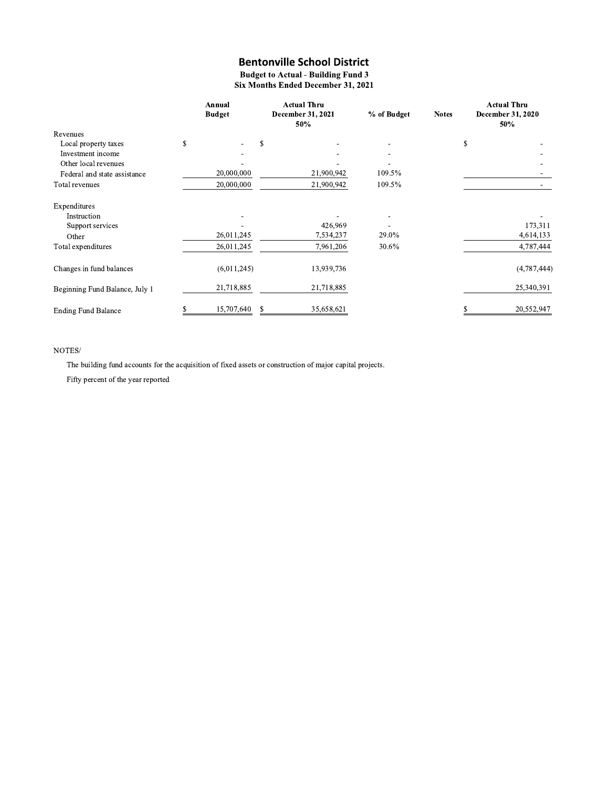**Budget to Actual - Building Fund 3** Six Months Ended December 31, 2021

|                                | Annual<br><b>Budget</b> |   | <b>Actual Thru</b><br>December 31, 2021<br>50% | % of Budget              | <b>Notes</b> | <b>Actual Thru</b><br>December 31, 2020<br>50% |             |
|--------------------------------|-------------------------|---|------------------------------------------------|--------------------------|--------------|------------------------------------------------|-------------|
| Revenues                       |                         |   |                                                |                          |              |                                                |             |
| Local property taxes           | \$<br>٠                 | S |                                                | ۰                        |              | \$                                             |             |
| Investment income              |                         |   |                                                | ۰                        |              |                                                |             |
| Other local revenues           |                         |   |                                                |                          |              |                                                |             |
| Federal and state assistance   | 20,000,000              |   | 21,900,942                                     | 109.5%                   |              |                                                |             |
| Total revenues                 | 20,000,000              |   | 21,900,942                                     | 109.5%                   |              |                                                |             |
| Expenditures                   |                         |   |                                                |                          |              |                                                |             |
| Instruction                    | $\overline{a}$          |   |                                                | $\overline{\phantom{a}}$ |              |                                                |             |
| Support services               |                         |   | 426,969                                        |                          |              |                                                | 173,311     |
| Other                          | 26,011,245              |   | 7,534,237                                      | 29.0%                    |              |                                                | 4,614,133   |
| Total expenditures             | 26,011,245              |   | 7,961,206                                      | 30.6%                    |              |                                                | 4,787,444   |
| Changes in fund balances       | (6,011,245)             |   | 13,939,736                                     |                          |              |                                                | (4,787,444) |
| Beginning Fund Balance, July 1 | 21,718,885              |   | 21,718,885                                     |                          |              |                                                | 25,340,391  |
| <b>Ending Fund Balance</b>     | 15,707,640              | S | 35,658,621                                     |                          |              |                                                | 20,552,947  |

### $\bold{NOTES}/$

The building fund accounts for the acquisition of fixed assets or construction of major capital projects.

Fifty percent of the year reported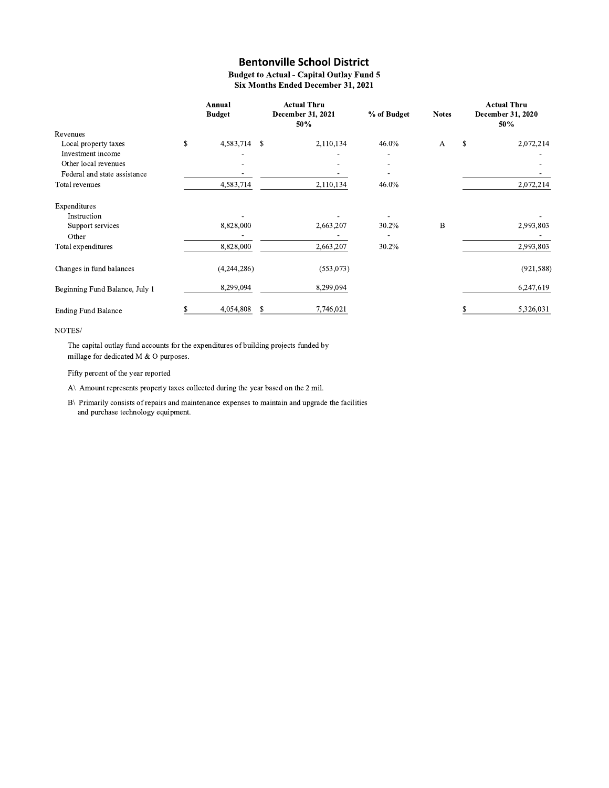**Budget to Actual - Capital Outlay Fund 5** Six Months Ended December 31, 2021

|                                | Annual<br><b>Budget</b> |    | <b>Actual Thru</b><br>December 31, 2021<br>50% | % of Budget              | <b>Notes</b> |               | <b>Actual Thru</b><br>December 31, 2020<br>50% |
|--------------------------------|-------------------------|----|------------------------------------------------|--------------------------|--------------|---------------|------------------------------------------------|
| Revenues                       |                         |    |                                                |                          |              |               |                                                |
| Local property taxes           | \$<br>4,583,714         | -S | 2,110,134                                      | 46.0%                    | $\mathbf{A}$ | <sup>\$</sup> | 2,072,214                                      |
| Investment income              |                         |    |                                                |                          |              |               |                                                |
| Other local revenues           |                         |    |                                                | $\overline{\phantom{a}}$ |              |               |                                                |
| Federal and state assistance   |                         |    |                                                |                          |              |               |                                                |
| Total revenues                 | 4,583,714               |    | 2,110,134                                      | 46.0%                    |              |               | 2,072,214                                      |
| Expenditures                   |                         |    |                                                |                          |              |               |                                                |
| Instruction                    |                         |    |                                                |                          |              |               |                                                |
| Support services               | 8,828,000               |    | 2,663,207                                      | 30.2%                    | B            |               | 2,993,803                                      |
| Other                          |                         |    |                                                |                          |              |               |                                                |
| Total expenditures             | 8,828,000               |    | 2,663,207                                      | 30.2%                    |              |               | 2,993,803                                      |
| Changes in fund balances       | (4,244,286)             |    | (553,073)                                      |                          |              |               | (921, 588)                                     |
| Beginning Fund Balance, July 1 | 8,299,094               |    | 8,299,094                                      |                          |              |               | 6,247,619                                      |
| <b>Ending Fund Balance</b>     | 4,054,808               | S  | 7,746,021                                      |                          |              |               | 5,326,031                                      |

#### NOTES/

The capital outlay fund accounts for the expenditures of building projects funded by millage for dedicated M & O purposes.

Fifty percent of the year reported

A\ Amount represents property taxes collected during the year based on the 2 mil.

B\ Primarily consists of repairs and maintenance expenses to maintain and upgrade the facilities and purchase technology equipment.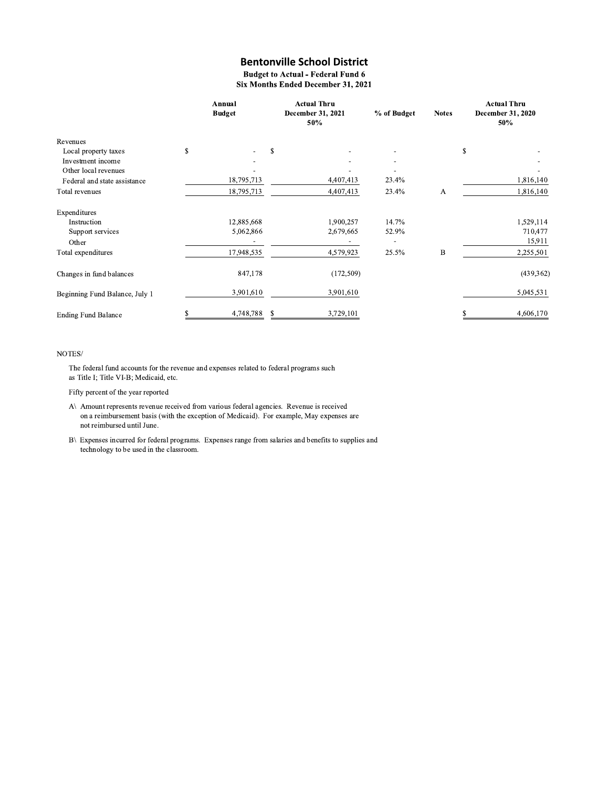**Budget to Actual - Federal Fund 6** Six Months Ended December 31, 2021

|                                | Annual<br><b>Budget</b> |    | <b>Actual Thru</b><br>December 31, 2021<br>50% | % of Budget | <b>Notes</b> | <b>Actual Thru</b><br>December 31, 2020<br>50% |            |
|--------------------------------|-------------------------|----|------------------------------------------------|-------------|--------------|------------------------------------------------|------------|
| Revenues                       |                         |    |                                                |             |              |                                                |            |
| Local property taxes           | \$                      | s  |                                                |             |              | \$                                             |            |
| Investment income              |                         |    |                                                |             |              |                                                |            |
| Other local revenues           |                         |    |                                                |             |              |                                                |            |
| Federal and state assistance   | 18,795,713              |    | 4,407,413                                      | 23.4%       |              |                                                | 1,816,140  |
| Total revenues                 | 18,795,713              |    | 4,407,413                                      | 23.4%       | A            |                                                | 1,816,140  |
| Expenditures                   |                         |    |                                                |             |              |                                                |            |
| Instruction                    | 12,885,668              |    | 1,900,257                                      | 14.7%       |              |                                                | 1,529,114  |
| Support services               | 5,062,866               |    | 2,679,665                                      | 52.9%       |              |                                                | 710,477    |
| Other                          |                         |    |                                                |             |              |                                                | 15,911     |
| Total expenditures             | 17,948,535              |    | 4,579,923                                      | 25.5%       | B            |                                                | 2,255,501  |
| Changes in fund balances       | 847,178                 |    | (172, 509)                                     |             |              |                                                | (439, 362) |
| Beginning Fund Balance, July 1 | 3,901,610               |    | 3,901,610                                      |             |              |                                                | 5,045,531  |
| <b>Ending Fund Balance</b>     | \$<br>4,748,788         | \$ | 3,729,101                                      |             |              | \$                                             | 4,606,170  |

#### NOTES/

The federal fund accounts for the revenue and expenses related to federal programs such as Title I; Title VI-B; Medicaid, etc.

Fifty percent of the year reported

- A\ Amount represents revenue received from various federal agencies. Revenue is received on a reimbursement basis (with the exception of Medicaid). For example, May expenses are not reimbursed until June.
- B\ Expenses incurred for federal programs. Expenses range from salaries and benefits to supplies and technology to be used in the classroom.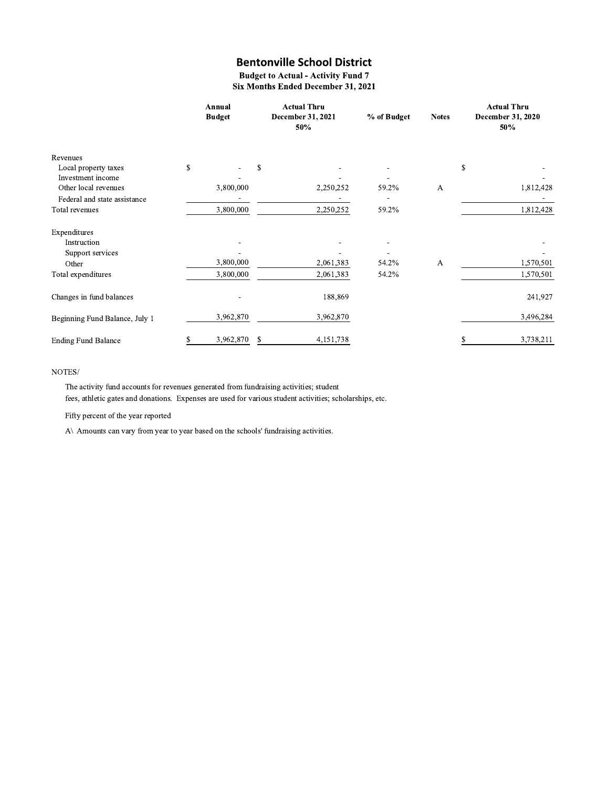**Budget to Actual - Activity Fund 7** Six Months Ended December 31, 2021

|                                           | Annual<br><b>Budget</b> |           | <b>Actual Thru</b><br>December 31, 2021<br>50% | % of Budget | <b>Notes</b> | <b>Actual Thru</b><br>December 31, 2020<br>50% |           |
|-------------------------------------------|-------------------------|-----------|------------------------------------------------|-------------|--------------|------------------------------------------------|-----------|
| Revenues                                  |                         |           |                                                |             |              |                                                |           |
| Local property taxes                      | \$                      |           | \$                                             |             |              | S                                              |           |
| Investment income<br>Other local revenues |                         | 3,800,000 | 2,250,252                                      | 59.2%       | А            |                                                | 1,812,428 |
| Federal and state assistance              |                         |           |                                                |             |              |                                                |           |
| Total revenues                            |                         | 3,800,000 | 2,250,252                                      | 59.2%       |              |                                                | 1,812,428 |
| Expenditures                              |                         |           |                                                |             |              |                                                |           |
| Instruction                               |                         |           |                                                |             |              |                                                |           |
| Support services                          |                         |           |                                                |             |              |                                                |           |
| Other                                     |                         | 3,800,000 | 2,061,383                                      | 54.2%       | A            |                                                | 1,570,501 |
| Total expenditures                        |                         | 3,800,000 | 2,061,383                                      | 54.2%       |              |                                                | 1,570,501 |
| Changes in fund balances                  |                         |           | 188,869                                        |             |              |                                                | 241,927   |
| Beginning Fund Balance, July 1            |                         | 3,962,870 | 3,962,870                                      |             |              |                                                | 3,496,284 |
| <b>Ending Fund Balance</b>                | S                       | 3,962,870 | \$<br>4,151,738                                |             |              |                                                | 3,738,211 |

### $\rm{NOTES}/$

The activity fund accounts for revenues generated from fundraising activities; student fees, athletic gates and donations. Expenses are used for various student activities; scholarships, etc.

Fifty percent of the year reported

A\ Amounts can vary from year to year based on the schools' fundraising activities.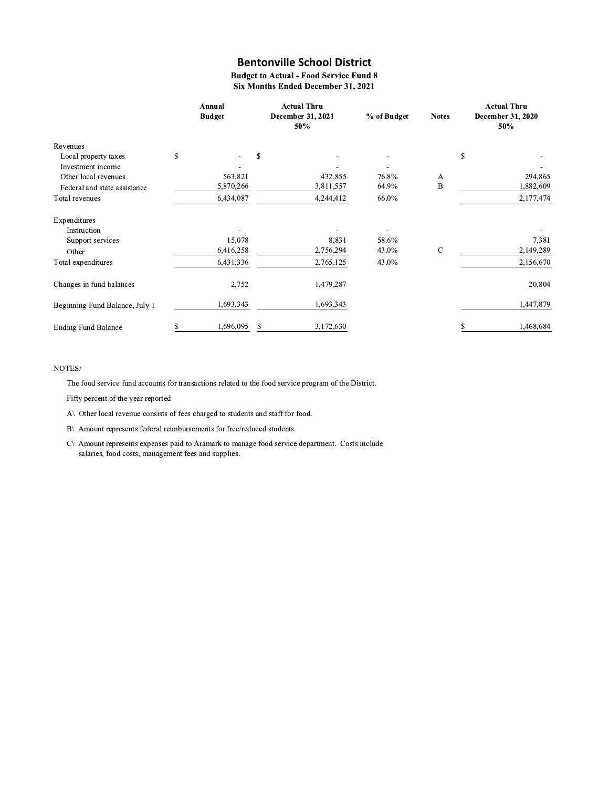**Budget to Actual - Food Service Fund 8 Six Months Ended December 31, 2021** 

|                                |    | Annual<br><b>Budget</b> |   | <b>Actual Thru</b><br>December 31, 2021<br>50% | % of Budget | <b>Notes</b> | <b>Actual Thru</b><br>December 31, 2020<br>50% |  |
|--------------------------------|----|-------------------------|---|------------------------------------------------|-------------|--------------|------------------------------------------------|--|
| Revenues                       |    |                         |   |                                                |             |              |                                                |  |
| Local property taxes           | \$ |                         | S |                                                |             |              | \$                                             |  |
| Investment income              |    |                         |   |                                                |             |              |                                                |  |
| Other local revenues           |    | 563,821                 |   | 432,855                                        | 76.8%       | A            | 294,865                                        |  |
| Federal and state assistance   |    | 5,870,266               |   | 3,811,557                                      | 64.9%       | B            | 1,882,609                                      |  |
| Total revenues                 |    | 6,434,087               |   | 4,244,412                                      | 66.0%       |              | 2,177,474                                      |  |
| Expenditures                   |    |                         |   |                                                |             |              |                                                |  |
| Instruction                    |    |                         |   |                                                |             |              |                                                |  |
| Support services               |    | 15,078                  |   | 8,831                                          | 58.6%       |              | 7,381                                          |  |
| Other                          |    | 6,416,258               |   | 2,756,294                                      | 43.0%       | C            | 2,149,289                                      |  |
| Total expenditures             |    | 6,431,336               |   | 2,765,125                                      | 43.0%       |              | 2,156,670                                      |  |
| Changes in fund balances       |    | 2,752                   |   | 1,479,287                                      |             |              | 20,804                                         |  |
| Beginning Fund Balance, July 1 |    | 1,693,343               |   | 1,693,343                                      |             |              | 1,447,879                                      |  |
| <b>Ending Fund Balance</b>     | S  | 1,696,095               | S | 3,172,630                                      |             |              | 1.468.684                                      |  |

#### NOTES/

The food service fund accounts for transactions related to the food service program of the District.

Fifty percent of the year reported

A\ Other local revenue consists of fees charged to students and staff for food.

B\ Amount represents federal reimbursements for free/reduced students.

C\ Amount represents expenses paid to Aramark to manage food service department. Costs include salaries, food costs, management fees and supplies.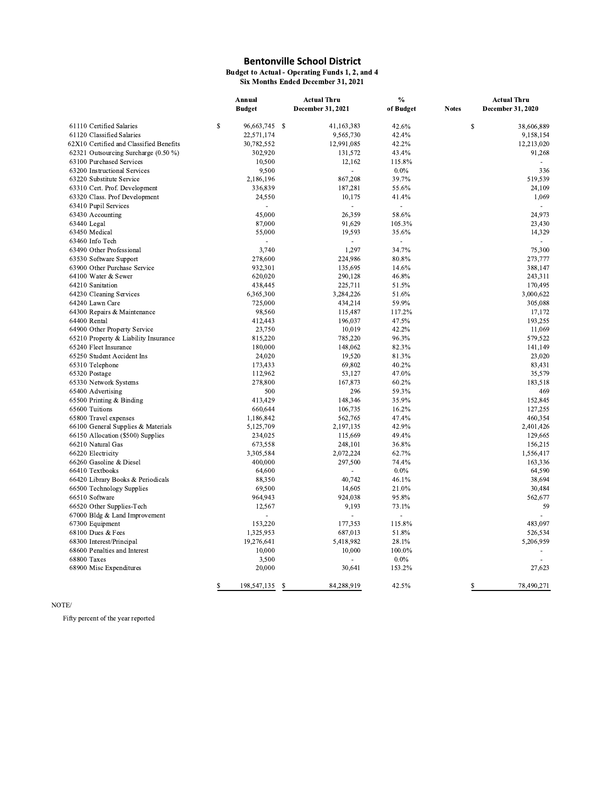**Budget to Actual - Operating Funds 1, 2, and 4**<br>Six Months Ended December 31, 2021

|                                             | Annual |               |    | Actual Thru       | %         |               | Actual Thru       |  |
|---------------------------------------------|--------|---------------|----|-------------------|-----------|---------------|-------------------|--|
|                                             |        | <b>Budget</b> |    | December 31, 2021 | of Budget | <b>Notes</b>  | December 31, 2020 |  |
| 61110 Certified Salaries                    | \$     | 96,663,745 \$ |    | 41, 163, 383      | 42.6%     | <sup>\$</sup> | 38,606,889        |  |
| 61120 Classified Salaries                   |        | 22,571,174    |    | 9,565,730         | 42.4%     |               | 9,158,154         |  |
| 62X10 Certified and Classified Benefits     |        | 30,782,552    |    | 12,991,085        | 42.2%     |               | 12,213,020        |  |
| 62321 Outsourcing Surcharge (0.50 %)        |        | 302,920       |    | 131,572           | 43.4%     |               | 91,268            |  |
| 63100 Purchased Services                    |        | 10,500        |    | 12,162            | 115.8%    |               |                   |  |
| 63200 Instructional Services                |        | 9,500         |    | $\overline{a}$    | $0.0\%$   |               | 336               |  |
| 63220 Substitute Service                    |        | 2,186,196     |    | 867,208           | 39.7%     |               | 519,539           |  |
| 63310 Cert. Prof. Development               |        | 336,839       |    | 187,281           | 55.6%     |               | 24,109            |  |
| 63320 Class. Prof Development               |        | 24,550        |    | 10,175            | 41.4%     |               | 1,069             |  |
| 63410 Pupil Services                        |        | $\mathbf{r}$  |    |                   | ä,        |               |                   |  |
| 63430 Accounting                            |        | 45.000        |    | 26,359            | 58.6%     |               | 24,973            |  |
| 63440 Legal                                 |        | 87,000        |    | 91,629            | 105.3%    |               | 23,430            |  |
| 63450 Medical                               |        | 55,000        |    | 19,593            | 35.6%     |               | 14,329            |  |
| 63460 Info Tech                             |        |               |    |                   |           |               |                   |  |
| 63490 Other Professional                    |        | 3,740         |    | 1,297             | 34.7%     |               | 75,300            |  |
| 63530 Software Support                      |        | 278,600       |    | 224,986           | 80.8%     |               | 273,777           |  |
| 63900 Other Purchase Service                |        | 932,301       |    | 135,695           | 14.6%     |               | 388,147           |  |
| 64100 Water & Sewer                         |        | 620,020       |    | 290,128           | 46.8%     |               | 243,311           |  |
| 64210 Sanitation                            |        | 438,445       |    | 225,711           | 51.5%     |               | 170,495           |  |
| 64230 Cleaning Services                     |        | 6,365,300     |    | 3,284,226         | 51.6%     |               | 3,000,622         |  |
| 64240 Lawn Care                             |        | 725,000       |    | 434,214           | 59.9%     |               | 305,088           |  |
|                                             |        | 98,560        |    | 115,487           | 117.2%    |               | 17,172            |  |
| 64300 Repairs & Maintenance<br>64400 Rental |        | 412,443       |    | 196,037           | 47.5%     |               | 193,255           |  |
|                                             |        | 23,750        |    | 10,019            | 42.2%     |               | 11,069            |  |
| 64900 Other Property Service                |        |               |    |                   |           |               |                   |  |
| 65210 Property & Liability Insurance        |        | 815,220       |    | 785,220           | 96.3%     |               | 579,522           |  |
| 65240 Fleet Insurance                       |        | 180,000       |    | 148,062           | 82.3%     |               | 141,149           |  |
| 65250 Student Accident Ins                  |        | 24,020        |    | 19,520            | 81.3%     |               | 23,020            |  |
| 65310 Telephone                             |        | 173,433       |    | 69,802            | 40.2%     |               | 83,431            |  |
| 65320 Postage                               |        | 112,962       |    | 53,127            | 47.0%     |               | 35,579            |  |
| 65330 Network Systems                       |        | 278,800       |    | 167,873           | 60.2%     |               | 183,518           |  |
| 65400 Advertising                           |        | 500           |    | 296               | 59.3%     |               | 469               |  |
| 65500 Printing & Binding                    |        | 413,429       |    | 148,346           | 35.9%     |               | 152,845           |  |
| 65600 Tuitions                              |        | 660,644       |    | 106,735           | 16.2%     |               | 127,255           |  |
| 65800 Travel expenses                       |        | 1,186,842     |    | 562,765           | 47.4%     |               | 460,354           |  |
| $66100$ General Supplies & Materials        |        | 5,125,709     |    | 2,197,135         | 42.9%     |               | 2,401,426         |  |
| 66150 Allocation (\$500) Supplies           |        | 234,025       |    | 115,669           | 49.4%     |               | 129,665           |  |
| 66210 Natural Gas                           |        | 673.558       |    | 248,101           | 36.8%     |               | 156,215           |  |
| 66220 Electricity                           |        | 3,305,584     |    | 2,072,224         | 62.7%     |               | 1,556,417         |  |
| 66260 Gasoline & Diesel                     |        | 400,000       |    | 297,500           | 74.4%     |               | 163,336           |  |
| 66410 Textbooks                             |        | 64,600        |    |                   | 0.0%      |               | 64,590            |  |
| 66420 Library Books & Periodicals           |        | 88,350        |    | 40,742            | 46.1%     |               | 38,694            |  |
| 66500 Technology Supplies                   |        | 69,500        |    | 14,605            | 21.0%     |               | 30,484            |  |
| 66510 Software                              |        | 964,943       |    | 924,038           | 95.8%     |               | 562,677           |  |
| 66520 Other Supplies-Tech                   |        | 12,567        |    | 9,193             | 73.1%     |               | 59                |  |
| 67000 Bldg & Land Improvement               |        |               |    |                   |           |               |                   |  |
| 67300 Equipment                             |        | 153,220       |    | 177,353           | 115.8%    |               | 483,097           |  |
| 68100 Dues & Fees                           |        | 1,325,953     |    | 687,013           | 51.8%     |               | 526,534           |  |
| 68300 Interest/Principal                    |        | 19,276,641    |    | 5,418,982         | 28.1%     |               | 5,206,959         |  |
| 68600 Penalties and Interest                |        | 10,000        |    | 10,000            | 100.0%    |               |                   |  |
| 68800 Taxes                                 |        | 3,500         |    |                   | $0.0\%$   |               |                   |  |
| 68900 Misc Expenditures                     |        | 20,000        |    | 30,641            | 153.2%    |               | 27,623            |  |
|                                             | S      | 198,547,135   | S. | 84.288.919        | 42.5%     | \$            | 78,490,271        |  |

 $\operatorname{NOTE}/$ 

Fifty percent of the year reported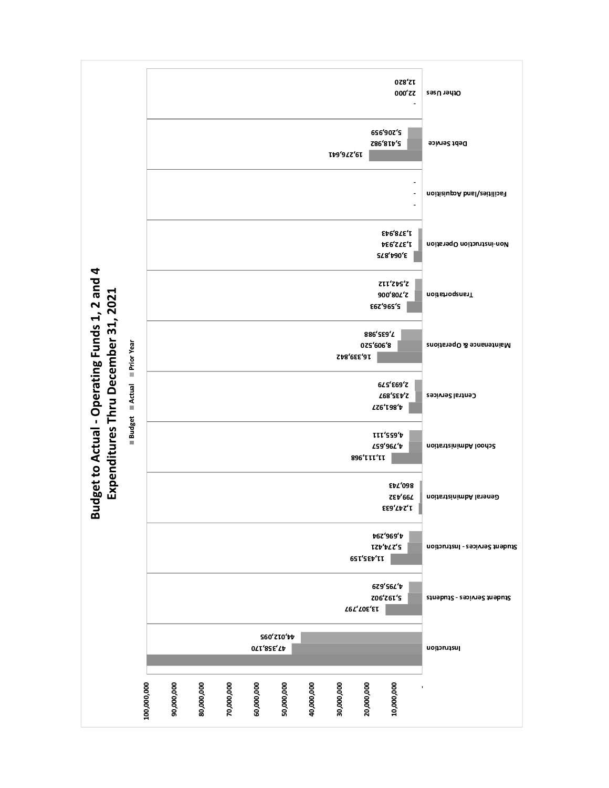